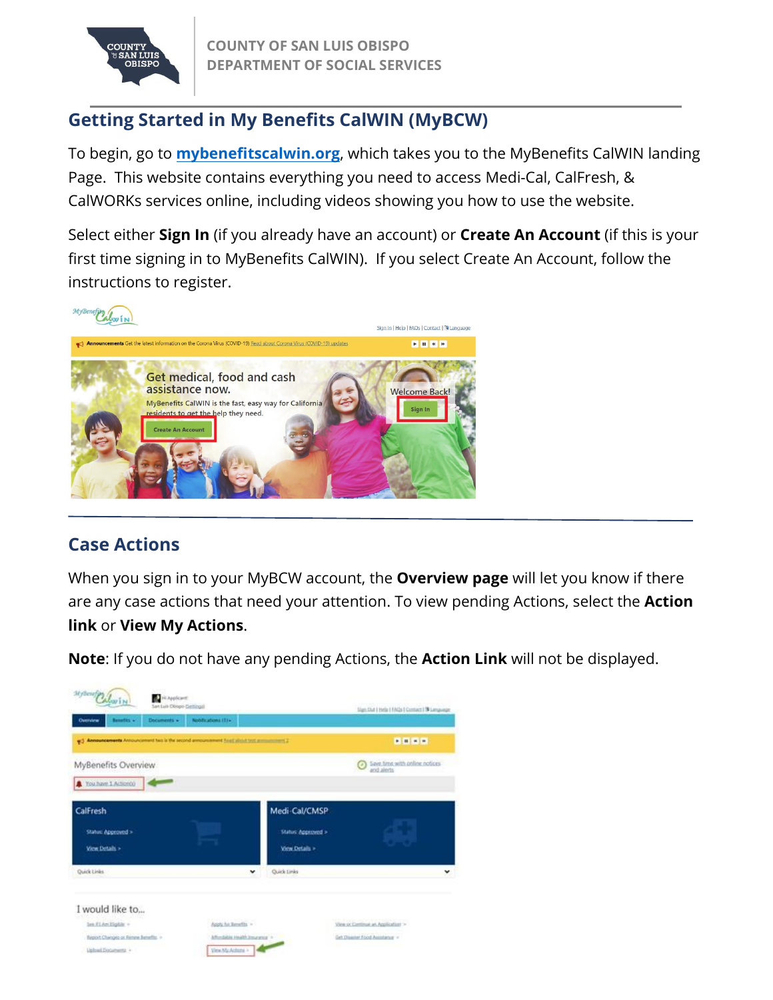

# **Getting Started in My Benefits CalWIN (MyBCW)**

To begin, go to **[mybenefitscalwin.org](https://www.mybenefitscalwin.org/)**, which takes you to the MyBenefits CalWIN landing Page. This website contains everything you need to access Medi-Cal, CalFresh, & CalWORKs services online, including videos showing you how to use the website.

Select either **Sign In** (if you already have an account) or **Create An Account** (if this is your first time signing in to MyBenefits CalWIN). If you select Create An Account, follow the instructions to register.



### **Case Actions**

When you sign in to your MyBCW account, the **Overview page** will let you know if there are any case actions that need your attention. To view pending Actions, select the **Action link** or **View My Actions**.

**Note**: If you do not have any pending Actions, the **Action Link** will not be displayed.

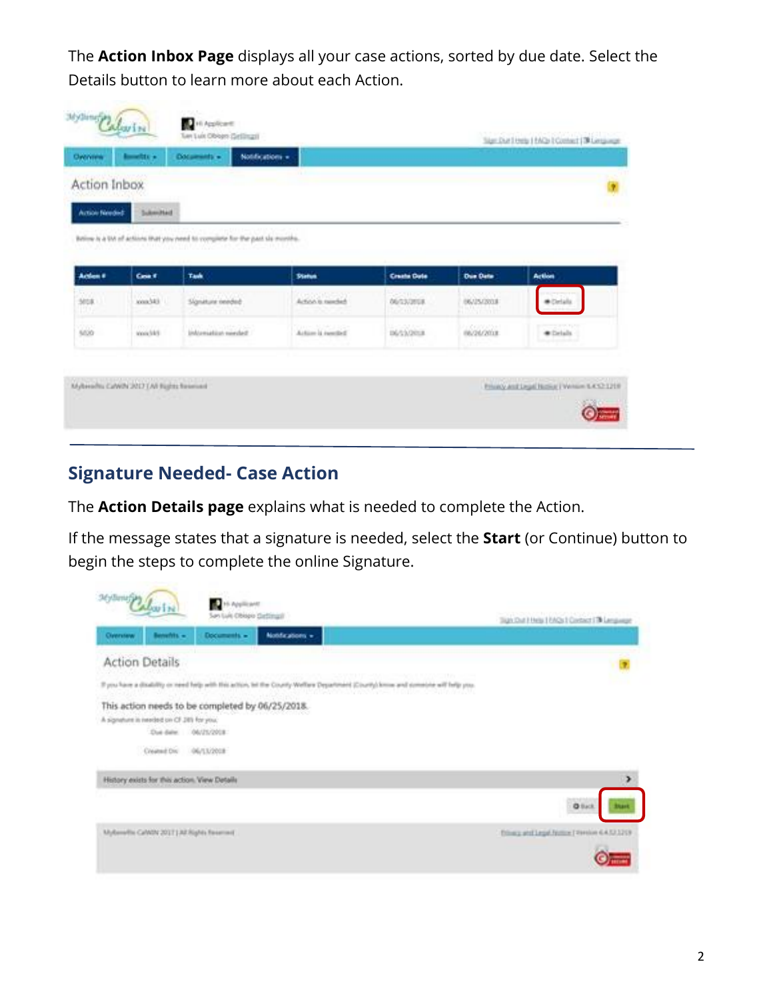The **Action Inbox Page** displays all your case actions, sorted by due date. Select the Details button to learn more about each Action.

| Overview       | metrix =          | Documents +<br>Notifications =                                                |                    |                                                      |                                   |               |
|----------------|-------------------|-------------------------------------------------------------------------------|--------------------|------------------------------------------------------|-----------------------------------|---------------|
| Action Inbox   |                   |                                                                               |                    |                                                      |                                   | ÷             |
| Action Needed: | Sukershield       |                                                                               |                    |                                                      |                                   |               |
|                |                   | Bittime is a UA of actions that you need to complete for the past six months. |                    |                                                      |                                   |               |
|                |                   |                                                                               |                    |                                                      |                                   |               |
| Action #       | Cost F            | Task                                                                          | <b>Status</b>      | <b>Create Date</b>                                   | <b>Due Date</b>                   | <b>Action</b> |
|                | iddison.          | Signiture rended:<br><b>STATES PROTECTIVE</b>                                 | Action is needed.  | <b>SPONDER</b><br><b><i>DESTREE</i></b><br>1,200,000 | 797547077<br>06/25/2001<br>lmarin | * Orlala      |
| 3018<br>KU.    |                   |                                                                               |                    |                                                      |                                   |               |
| sico.          | insuon<br>weight! | Information member                                                            | Action is resulted | <b>DESSORIA</b>                                      | missiona                          | * Details     |

## **Signature Needed- Case Action**

The **Action Details page** explains what is needed to complete the Action.

If the message states that a signature is needed, select the **Start** (or Continue) button to begin the steps to complete the online Signature.

| Jamas Palarin'                                                                                                                                    | 16 Applicant<br>San Luis Chiseo Detimali                                                                                            | Sign Out I Help 1 EAQs I Contact I TA Lenguage |
|---------------------------------------------------------------------------------------------------------------------------------------------------|-------------------------------------------------------------------------------------------------------------------------------------|------------------------------------------------|
| Benefits -<br>Overview                                                                                                                            | Notifications +<br>Documents =                                                                                                      |                                                |
| <b>Action Details</b>                                                                                                                             |                                                                                                                                     |                                                |
|                                                                                                                                                   | If you have a doubility or need help with this action, tel the County Wellars Department (County) loose and consiste will help you. |                                                |
| This action needs to be completed by 06/25/2018.<br>A signature in interded on CF 281 for you.<br>Due date: 06/25/2018<br>Created Div. 06/13/2018 |                                                                                                                                     |                                                |
| History exists for this action. View Details                                                                                                      |                                                                                                                                     | ⋗                                              |
|                                                                                                                                                   |                                                                                                                                     | <b>Q</b> Back                                  |
| MyBerefix CaWDV 201T   All Rights flexerised                                                                                                      |                                                                                                                                     | Tribuca and Legal Numme   Version 6.4.52.1213  |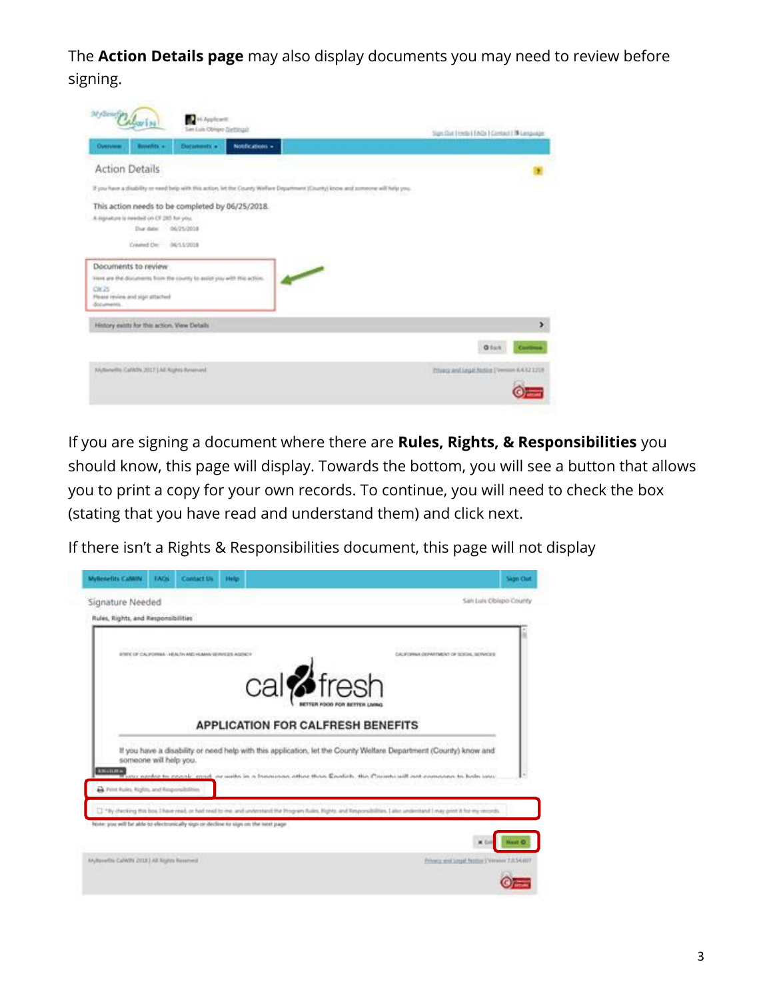The **Action Details page** may also display documents you may need to review before signing.

| MyBenefyn           | Abarin                                                                                      | Hi Appleant<br>Ser Luis Obraro Ziettingal                               |                 |                                                                                                                                    |  | Signified Eterbi Efects   Contact   Milanguage |
|---------------------|---------------------------------------------------------------------------------------------|-------------------------------------------------------------------------|-----------------|------------------------------------------------------------------------------------------------------------------------------------|--|------------------------------------------------|
| Overview            | Benefits -                                                                                  | Documents in :                                                          | Notifications + |                                                                                                                                    |  |                                                |
|                     | <b>Action Details</b>                                                                       |                                                                         |                 |                                                                                                                                    |  |                                                |
|                     |                                                                                             |                                                                         |                 | If you have a disability or eard belp with this action, let the County Wellare Department (County) know and sumocra will help you. |  |                                                |
|                     | A signature is rendell on CF 285 for you.<br>Due date: 06/25/2028<br>Crawled De: 06/15/2018 | This action needs to be completed by 06/25/2018.                        |                 |                                                                                                                                    |  |                                                |
|                     | Documents to review                                                                         | inner are the discuments from the county to exist you with this action. |                 |                                                                                                                                    |  |                                                |
| CW.25<br>documents. | Please review and sign attached                                                             |                                                                         |                 |                                                                                                                                    |  |                                                |
|                     | History exists for this action. View Details                                                |                                                                         |                 |                                                                                                                                    |  | ٠                                              |
|                     |                                                                                             |                                                                         |                 |                                                                                                                                    |  | Office<br>Continued                            |
|                     | Myllenellis CaWN 2017.] All Kights Reverved                                                 |                                                                         |                 |                                                                                                                                    |  | Privacy and Legal Notice I Venton 6, 632 1219  |

If you are signing a document where there are **Rules, Rights, & Responsibilities** you should know, this page will display. Towards the bottom, you will see a button that allows you to print a copy for your own records. To continue, you will need to check the box (stating that you have read and understand them) and click next.

If there isn't a Rights & Responsibilities document, this page will not display

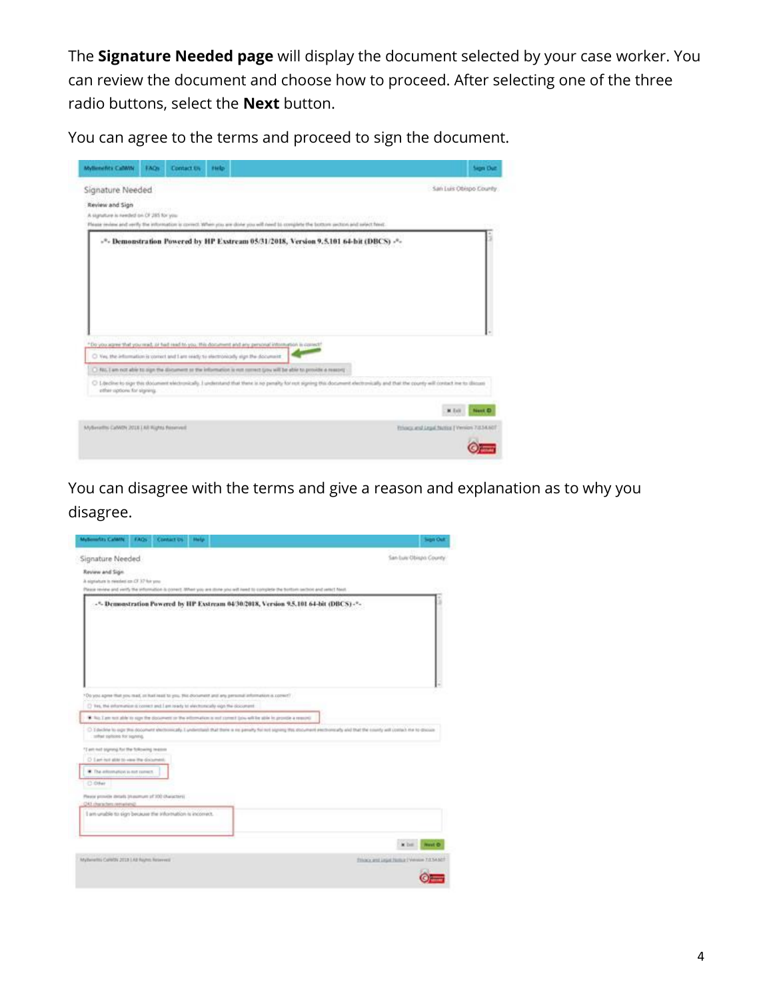The **Signature Needed page** will display the document selected by your case worker. You can review the document and choose how to proceed. After selecting one of the three radio buttons, select the **Next** button.

You can agree to the terms and proceed to sign the document.



You can disagree with the terms and give a reason and explanation as to why you disagree.

| Multerrefits Caldilly                                                                                                                                                                                                                                                                                                                     | <b>TAOS</b> | <b>Contact DS</b> | <b>Huly</b>                                                                           |  |  |  |                                            | <b>Sign Out</b> |
|-------------------------------------------------------------------------------------------------------------------------------------------------------------------------------------------------------------------------------------------------------------------------------------------------------------------------------------------|-------------|-------------------|---------------------------------------------------------------------------------------|--|--|--|--------------------------------------------|-----------------|
| Signature Needed                                                                                                                                                                                                                                                                                                                          |             |                   |                                                                                       |  |  |  | San Luis Obispo County.                    |                 |
| Review and Sign.<br>A signature is related on OF 37 for you.<br>Please review and verify the information is convert. When you are stone you will need to complete the bottom section and vertel! Neel-                                                                                                                                    |             |                   |                                                                                       |  |  |  |                                            |                 |
|                                                                                                                                                                                                                                                                                                                                           |             |                   | -5. Demonstration Powered by HP Exstream 04/30/2018, Version 9.5.101 64-bit (DBCS)-7- |  |  |  |                                            |                 |
| *Oo you agree that you read, or had read to you. The discurrent and eny personal attornation is connect?<br>[7] Yes, the information is connect and I am ready to electromody eign the document                                                                                                                                           |             |                   |                                                                                       |  |  |  |                                            |                 |
| To his Late was able to sign the discusses or the editorialism is not comed late with be able to provide a rescured<br>C I decline to sign this document shottcolocally. I pretentiate that there is no periody for not signing this document electromarky and that the county will contact it a to docume<br>softed options for signing. |             |                   |                                                                                       |  |  |  |                                            |                 |
| *T ant not square). for the following teams<br>C I art not also to view the document.<br>C. The enformation is not comect.                                                                                                                                                                                                                |             |                   |                                                                                       |  |  |  |                                            |                 |
| C Oller                                                                                                                                                                                                                                                                                                                                   |             |                   |                                                                                       |  |  |  |                                            |                 |
| Please provide details (massmunt of 300 characters)<br>OAT characters remaining?                                                                                                                                                                                                                                                          |             |                   |                                                                                       |  |  |  |                                            |                 |
| I am unable to sign because the information is incorrect.                                                                                                                                                                                                                                                                                 |             |                   |                                                                                       |  |  |  |                                            |                 |
|                                                                                                                                                                                                                                                                                                                                           |             |                   |                                                                                       |  |  |  | <b>W</b> Ever                              | <b>Novit</b> O  |
| Mythelettis Calletti 2013 LAB Royhts Reservest                                                                                                                                                                                                                                                                                            |             |                   |                                                                                       |  |  |  | Thocs and Legal Numaril Velvium 7.0.54.607 |                 |
|                                                                                                                                                                                                                                                                                                                                           |             |                   |                                                                                       |  |  |  |                                            |                 |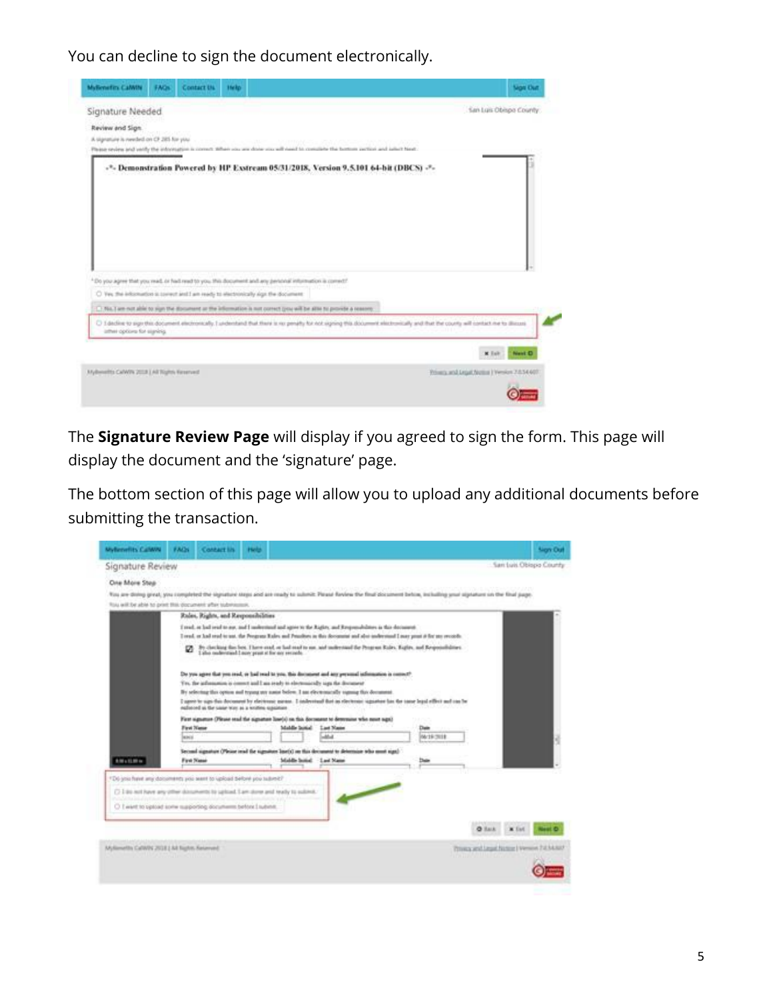You can decline to sign the document electronically.

| Signature Needed<br>Review and Sign.<br>A signature is needed on CF 285 for you. |  |                                                                                                                                                                                                | Phinne review and yorkly the information is connect whate you are doing you will date for consistent the types person curricult and justice base<br>-*- Demonstration Powered by HP Exstream 05/31/2018, Version 9.5.101 64-bit (DBCS) -*- | San Luis Obispo County   |
|----------------------------------------------------------------------------------|--|------------------------------------------------------------------------------------------------------------------------------------------------------------------------------------------------|--------------------------------------------------------------------------------------------------------------------------------------------------------------------------------------------------------------------------------------------|--------------------------|
|                                                                                  |  | *Do you agree that you read, or had read to you. this document and any periodal inturnation is conrect?<br>C) Yes the information is conect and I am ready to electronically sign the document |                                                                                                                                                                                                                                            |                          |
|                                                                                  |  | [ ) No. I are not able to sign the document or the information is not correct (you will be alte to provide a reason).                                                                          |                                                                                                                                                                                                                                            |                          |
|                                                                                  |  |                                                                                                                                                                                                |                                                                                                                                                                                                                                            |                          |
| inthest options for signing.                                                     |  |                                                                                                                                                                                                | C) I decline to sign this document attornmently. I understand that there is no penalty for not signing this document electronically and that the county will contact me to dilicuse                                                        |                          |
|                                                                                  |  |                                                                                                                                                                                                |                                                                                                                                                                                                                                            | Next D<br><b>M</b> Ealth |

The **Signature Review Page** will display if you agreed to sign the form. This page will display the document and the 'signature' page.

The bottom section of this page will allow you to upload any additional documents before submitting the transaction.

| MyRenefits CalWiN                                                                                                                                                                                                                                       | <b>FACH</b> | <b>Contact lis</b>                                | Hold |                                                                                                                                                                                                                                                                                                                                                                                                                                         |                    |                    |                                             |              | <b>Non Out</b>         |
|---------------------------------------------------------------------------------------------------------------------------------------------------------------------------------------------------------------------------------------------------------|-------------|---------------------------------------------------|------|-----------------------------------------------------------------------------------------------------------------------------------------------------------------------------------------------------------------------------------------------------------------------------------------------------------------------------------------------------------------------------------------------------------------------------------------|--------------------|--------------------|---------------------------------------------|--------------|------------------------|
| Signature Review                                                                                                                                                                                                                                        |             |                                                   |      |                                                                                                                                                                                                                                                                                                                                                                                                                                         |                    |                    |                                             |              | San Luis Oblopo County |
| One More Step<br>You are dinning gireal, you completed the signature steps and are ready to submit: Please Raylew the final document behins, including your signature on the final page.<br>ficiu will be able to print this document after submission. |             |                                                   |      |                                                                                                                                                                                                                                                                                                                                                                                                                                         |                    |                    |                                             |              |                        |
|                                                                                                                                                                                                                                                         |             | Rules, Rights, and Responsibilities               |      |                                                                                                                                                                                                                                                                                                                                                                                                                                         |                    |                    |                                             |              |                        |
|                                                                                                                                                                                                                                                         |             |                                                   |      | I read, at had read to sur, and I molectional and agree to the Rights, and Responsibilities in this decontron-<br>I read, or had stud to just, the Pregnan Rales and Printfluts in this decominat and also inductional I may point it for my records.                                                                                                                                                                                   |                    |                    |                                             |              |                        |
|                                                                                                                                                                                                                                                         |             | I also nederstand I now peast at for one seconds. |      | By checking this best. There mut or had mut to use, and understand the Peopon Rales, Eights, and Responsibilities.                                                                                                                                                                                                                                                                                                                      |                    |                    |                                             |              |                        |
|                                                                                                                                                                                                                                                         |             | realiseced us the same way as a written opportune |      | Do you agree that you read, or had read to you. this discussed and any previousl information is convert?<br>Tre, the information is context and I am ready to electronicidly sign the discussent<br>By selecting this option and typing any autor below. I am electromately sugaring this document.<br>I upon to says this decoment by electronic means. I indevenued that an electronic signature has the same legal effect and can be |                    |                    |                                             |              |                        |
|                                                                                                                                                                                                                                                         | leacu       | First Name                                        |      | Fort signature (Fleuse stud the signature line(s) on this document to determine who next sign)<br>Mabile Sonial                                                                                                                                                                                                                                                                                                                         | Last Name<br>مشاهد | Date<br>06/19 2018 |                                             |              |                        |
| <b>AMAZUR</b>                                                                                                                                                                                                                                           |             | Ford Natal                                        |      | Second signature (Please read the signature line(s) an this decument to determine teho must sign)<br><b>Maldie Stated:</b>                                                                                                                                                                                                                                                                                                              | - Last Name        |                    |                                             |              |                        |
| *D6 you have any documents you want to upload before you submit?                                                                                                                                                                                        |             |                                                   |      |                                                                                                                                                                                                                                                                                                                                                                                                                                         |                    |                    |                                             |              |                        |
| (3 I do not have any other documents to upload. I am done and ready to submit.                                                                                                                                                                          |             |                                                   |      |                                                                                                                                                                                                                                                                                                                                                                                                                                         |                    |                    |                                             |              |                        |
| C I want to upload some supporting documents before I submit.                                                                                                                                                                                           |             |                                                   |      |                                                                                                                                                                                                                                                                                                                                                                                                                                         |                    |                    |                                             |              |                        |
|                                                                                                                                                                                                                                                         |             |                                                   |      |                                                                                                                                                                                                                                                                                                                                                                                                                                         |                    |                    | <b>O</b> Back                               | $\times$ Tat |                        |
| MyKewellis CalWRG 2018 J.Ad Nights, Keizeved                                                                                                                                                                                                            |             |                                                   |      |                                                                                                                                                                                                                                                                                                                                                                                                                                         |                    |                    | Privacy and Legal Notice   Venuin 7-8 M-RAT |              |                        |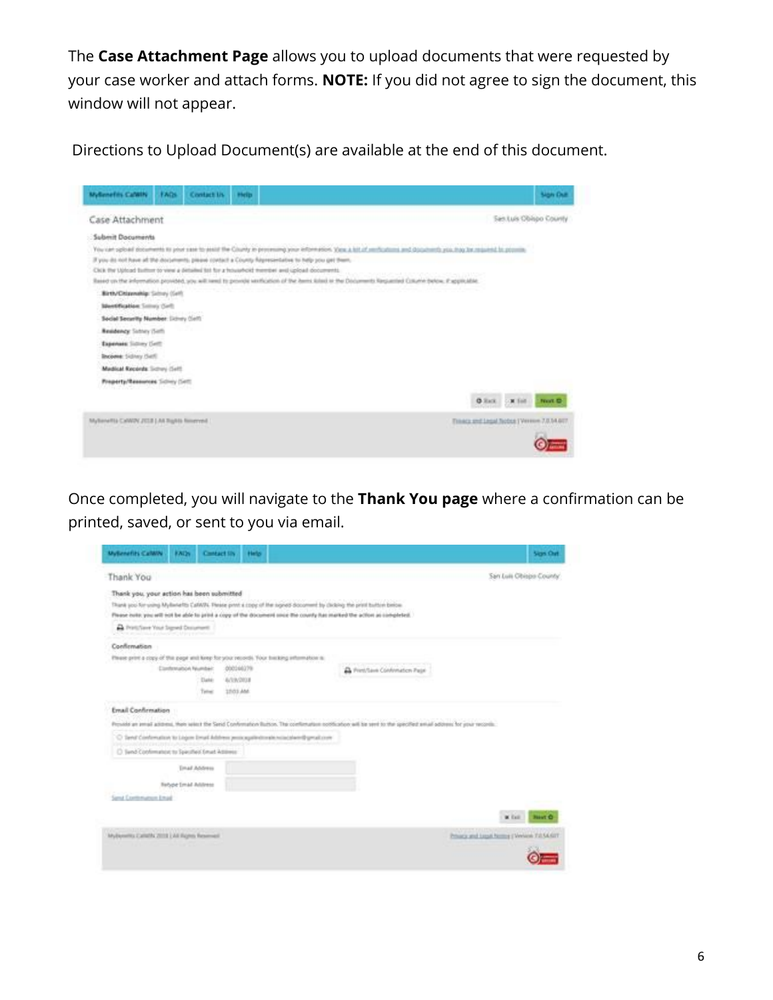The **Case Attachment Page** allows you to upload documents that were requested by your case worker and attach forms. **NOTE:** If you did not agree to sign the document, this window will not appear.

Directions to Upload Document(s) are available at the end of this document.



Once completed, you will navigate to the **Thank You page** where a confirmation can be printed, saved, or sent to you via email.

| <b>MyBenefits CalWiN</b><br><b>ENDS</b><br>Contact IIN                                                                  | Help |                                                                                                                                                               | Sign Out                                   |
|-------------------------------------------------------------------------------------------------------------------------|------|---------------------------------------------------------------------------------------------------------------------------------------------------------------|--------------------------------------------|
| Thank You                                                                                                               |      |                                                                                                                                                               | San Luis Obisps County                     |
| Thank you, your action has been submitted                                                                               |      |                                                                                                                                                               |                                            |
| Thank you for using MyBenefits CaTAVIV. These print a copy of the signed document by clicking the print buildier below. |      |                                                                                                                                                               |                                            |
| Please outs: you will not be able to print a copy of the document once the county has marked the action as completed.   |      |                                                                                                                                                               |                                            |
| The Prints David State Prints and China Prints                                                                          |      |                                                                                                                                                               |                                            |
| Confirmation                                                                                                            |      |                                                                                                                                                               |                                            |
| Please print a copy of the page and luxey for your records. Your treating information to                                |      |                                                                                                                                                               |                                            |
| <b>Contemation Number:</b><br>000166179                                                                                 |      | A President Conformation Page                                                                                                                                 |                                            |
| Date<br>A/19/2018                                                                                                       |      |                                                                                                                                                               |                                            |
| 1001 AM<br>Tellet                                                                                                       |      |                                                                                                                                                               |                                            |
| Email Confirmation                                                                                                      |      |                                                                                                                                                               |                                            |
|                                                                                                                         |      | Provide an armal address, then went the Send Conformation Button. The conformation notification will be sent to the specified email address for your records. |                                            |
| C Tamil Conferration to Ligan Drust Address projecupited trains to calculate @ great com-                               |      |                                                                                                                                                               |                                            |
| C Sand Conferration to Spacified Email Address                                                                          |      |                                                                                                                                                               |                                            |
| <b>Email Address</b>                                                                                                    |      |                                                                                                                                                               |                                            |
| <b>Febber Small Address</b>                                                                                             |      |                                                                                                                                                               |                                            |
| Sand Continenation Ethal                                                                                                |      |                                                                                                                                                               |                                            |
|                                                                                                                         |      |                                                                                                                                                               | W. Exit<br><b>Newt O</b>                   |
| MyBenefits Calletts 2019   All Rights Reserved                                                                          |      |                                                                                                                                                               | Privacy and Legal Nerma (Welcom TJ) 54,427 |
|                                                                                                                         |      |                                                                                                                                                               |                                            |
|                                                                                                                         |      |                                                                                                                                                               |                                            |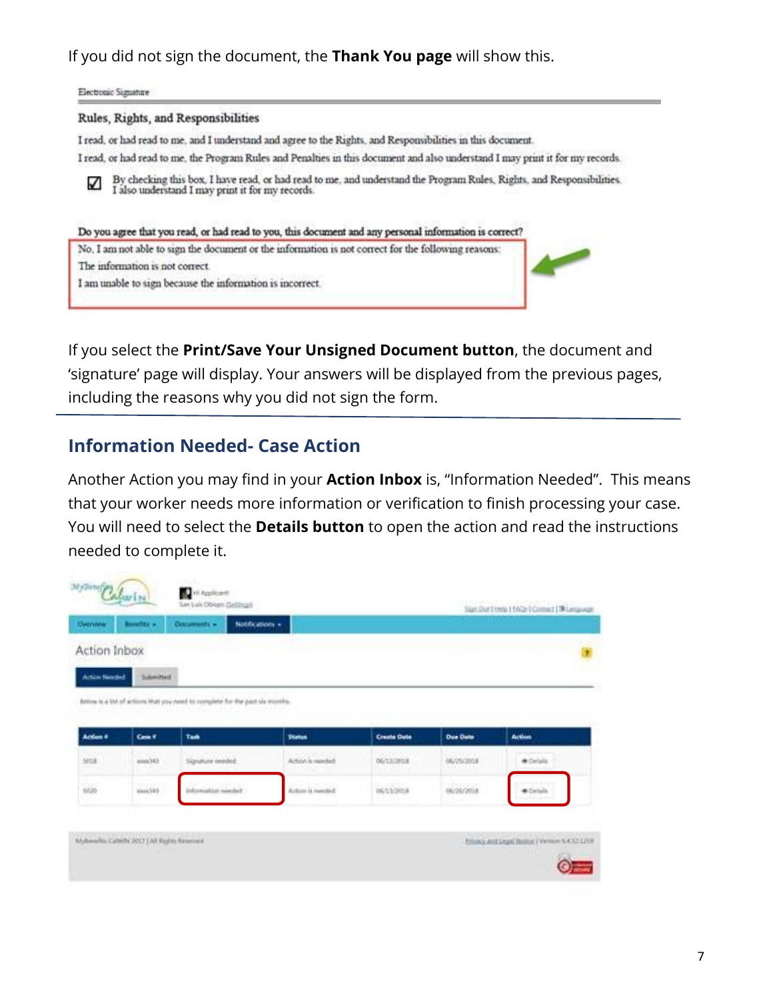If you did not sign the document, the **Thank You page** will show this.

Electronic Signature

#### Rules, Rights, and Responsibilities

I read, or had read to me, and I understand and agree to the Rights, and Responsibilities in this document.

I read, or had read to me, the Program Rules and Penalties in this document and also understand I may print it for my records.





If you select the **Print/Save Your Unsigned Document button**, the document and 'signature' page will display. Your answers will be displayed from the previous pages, including the reasons why you did not sign the form.

#### **Information Needed- Case Action**

Another Action you may find in your **Action Inbox** is, "Information Needed". This means that your worker needs more information or verification to finish processing your case. You will need to select the **Details button** to open the action and read the instructions needed to complete it.

| Action Inbox                                                                                                                                                  |  |
|---------------------------------------------------------------------------------------------------------------------------------------------------------------|--|
|                                                                                                                                                               |  |
| Article Needed:<br><b>Sukersheld</b>                                                                                                                          |  |
| Betime is a UA of actions that you need to complete for the past six months.                                                                                  |  |
| i watan di nasarawan                                                                                                                                          |  |
| Actes #<br>Cost F<br><b>Action</b><br>Task<br><b>Create Date</b><br><b>Due Date</b><br><b>Status</b>                                                          |  |
| <b>ASSISTENCE</b><br>3058.<br>Signiture rended:<br>iddison.<br>Action is needed.<br>* Details<br><b>DE/ES/2018</b><br>06/25/2028<br>marini<br>122<br>1920 O.S |  |
| minona<br>ico.<br>www.filet<br><b>DESTURNA</b><br>Aston is needed<br>Selves railing in<br><b>*</b> Details                                                    |  |
|                                                                                                                                                               |  |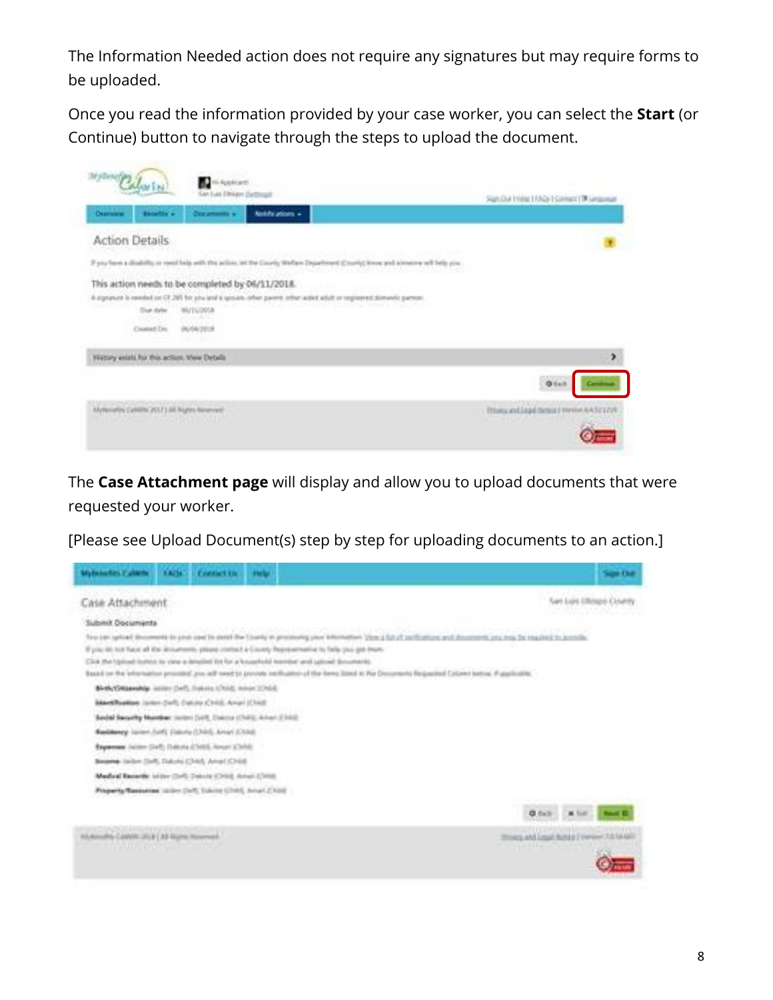The Information Needed action does not require any signatures but may require forms to be uploaded.

Once you read the information provided by your case worker, you can select the **Start** (or Continue) button to navigate through the steps to upload the document.

| Overview<br><b>Bioothes</b><br>Nobly attorn +<br><b>Clint promote in</b>                                                                                                                                                                                           | San Out 11466 11/A2x1 Salebard [34 (Angelman) |
|--------------------------------------------------------------------------------------------------------------------------------------------------------------------------------------------------------------------------------------------------------------------|-----------------------------------------------|
| <b>Action Details</b>                                                                                                                                                                                                                                              |                                               |
| If you have a disability or yeed help with this action, let the Cauvity Wellaw Department (County) force and aboutine will belg you.                                                                                                                               |                                               |
| This action needs to be completed by 06/11/2018.<br>A signature is reached on CE285 for you and a question other parents other wines what or registered domantic parents.<br>방안 지지 않은 일반 22 시간 기사 이 시간<br>n seren<br><b>Zion date</b><br><b>BUTL/2018</b><br>enera |                                               |
| Cramed Drs.<br>(ALCA/2018)                                                                                                                                                                                                                                         |                                               |
| 부러상의<br>Webley exists for this action, Yele Details                                                                                                                                                                                                                |                                               |
|                                                                                                                                                                                                                                                                    | ۶<br>$0 + 1$                                  |

The **Case Attachment page** will display and allow you to upload documents that were requested your worker.

[Please see Upload Document(s) step by step for uploading documents to an action.]

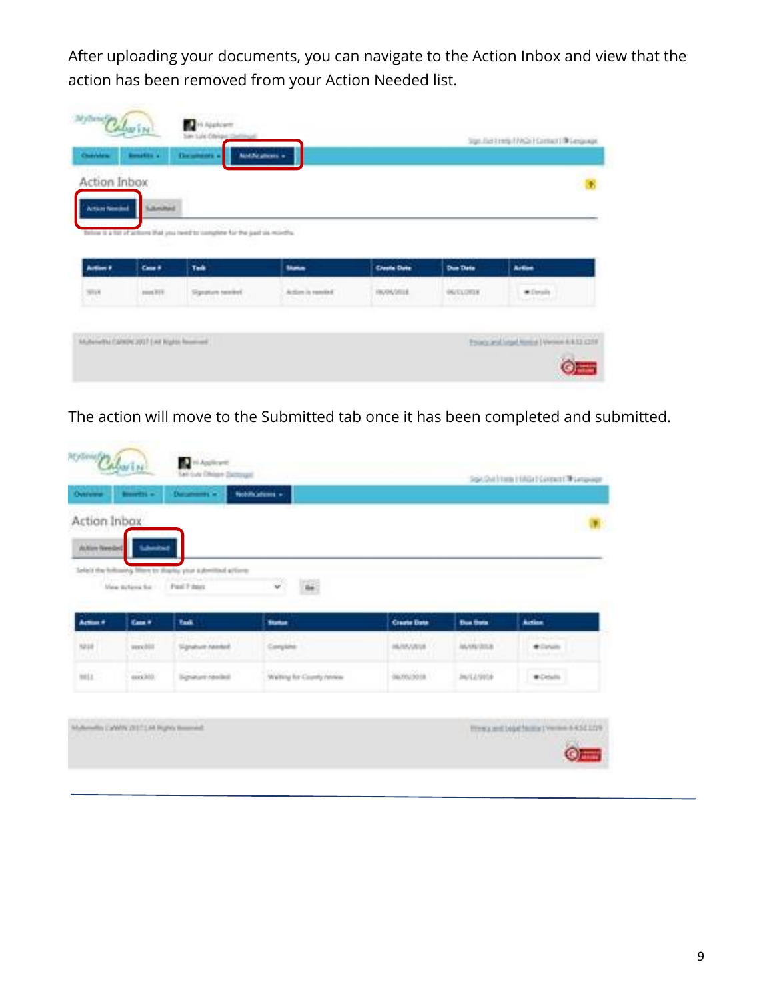After uploading your documents, you can navigate to the Action Inbox and view that the action has been removed from your Action Needed list.

| Action Inbox           |                  |                                                                                                                                          |                                  |                        |                             |                                      |
|------------------------|------------------|------------------------------------------------------------------------------------------------------------------------------------------|----------------------------------|------------------------|-----------------------------|--------------------------------------|
| <b>Action Newsletz</b> | <b>Submitted</b> |                                                                                                                                          |                                  |                        |                             |                                      |
|                        | -- 10            | o messor<br>Below is a list of actions that you need to complete far the part on months.<br>the property of the property of the property |                                  |                        |                             |                                      |
| Artion P               | Case #           | Task                                                                                                                                     | <b>Market</b>                    | <b>Create Date</b>     | <b>Due Date</b>             | <b>Artist</b>                        |
| 豐                      | pass 2111        | Signature swinked<br>rena katanga                                                                                                        | Action is randed.<br>Show Tabian | HIGHLY STOLE<br>DED304 | <b>DESTACTOR</b><br>COUNTER | W.Davjalis<br><b>In Green Summer</b> |

The action will move to the Submitted tab once it has been completed and submitted.

|                                              |                                   |                             | Nobilizations -            | Datamants w                                                                  | <b>Browthi</b> -         | Owners          |
|----------------------------------------------|-----------------------------------|-----------------------------|----------------------------|------------------------------------------------------------------------------|--------------------------|-----------------|
|                                              |                                   |                             |                            |                                                                              |                          | Action Inbox    |
|                                              |                                   |                             |                            |                                                                              |                          | Autom Needled   |
|                                              |                                   |                             | 56                         | Select the following. More to sharing your automited actions:<br>Fuel 7 days |                          |                 |
|                                              |                                   |                             | v.                         |                                                                              | View Britans for         |                 |
|                                              |                                   |                             | <b>Starker</b>             | <b>Task</b>                                                                  | Case #                   | <b>Action #</b> |
| Action                                       | <b>Due Opts</b>                   | <b>Create Date</b>          |                            |                                                                              |                          | 5210            |
| <b>ALL-GLA</b><br>* Drum<br>Christmas Market | <b>MARVISS</b>                    | MASSAGE.<br><b>MARK</b>     | Conyane                    | Signature ratedal.<br>0-532-521                                              | weeklill.<br><b>JOSH</b> | <u> 1971 </u>   |
| <b>W-Details</b>                             | 37.000.000<br><b>JAVICA/JIPDA</b> | colorado (n.<br>06/05/30 18 | Walting for County centers | <b>Spaun renkd</b>                                                           | $\frac{1}{2}$            | isia.           |
|                                              |                                   |                             |                            |                                                                              |                          |                 |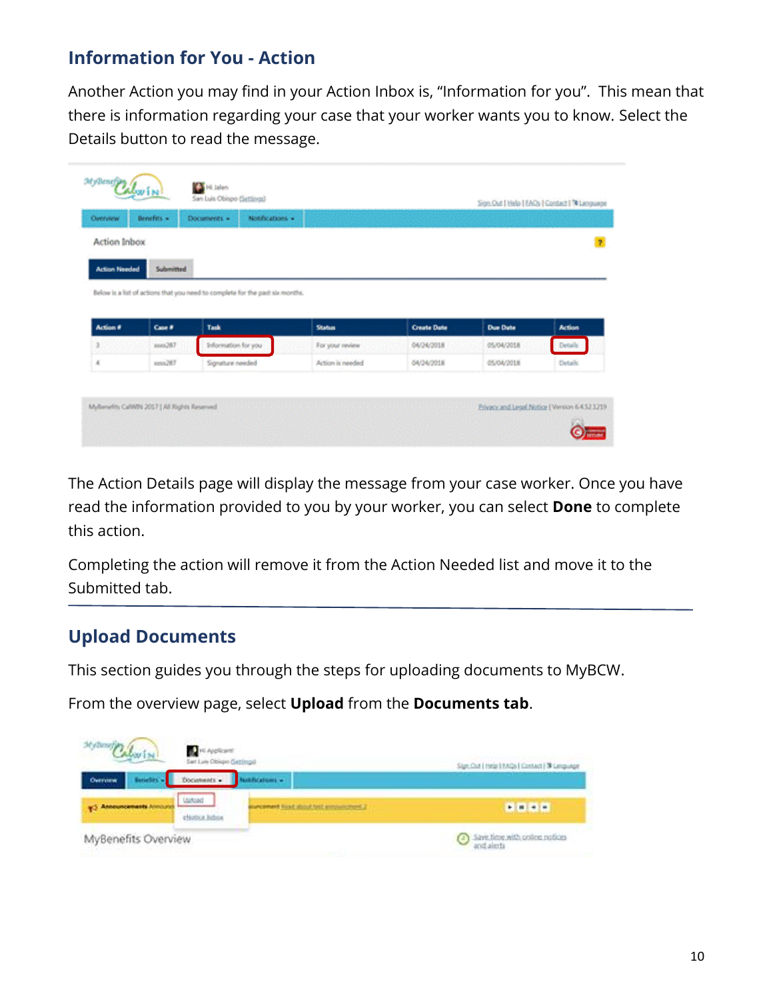## **Information for You - Action**

Another Action you may find in your Action Inbox is, "Information for you". This mean that there is information regarding your case that your worker wants you to know. Select the Details button to read the message.

| Overview             | Benefits = | Notifications -<br>Documents =                                                |                  |                    |                 |               |
|----------------------|------------|-------------------------------------------------------------------------------|------------------|--------------------|-----------------|---------------|
| <b>Action Inbox</b>  |            |                                                                               |                  |                    |                 |               |
| <b>Action Needed</b> | Submitted  |                                                                               |                  |                    |                 |               |
|                      |            | Below is a list of actions that you need to complete for the past six months. |                  |                    |                 |               |
|                      |            |                                                                               |                  |                    |                 |               |
|                      |            |                                                                               |                  |                    |                 |               |
| Action #             | Case #     | Task                                                                          | <b>Status</b>    | <b>Create Date</b> | <b>Due Date</b> | <b>Action</b> |
|                      | 1006287    | Information for you :                                                         | For your review  | 04/24/2018         | 05/04/2018      | Details       |
| $\mathbb{R}^2$<br>x  | soon, 287  | Signature needed                                                              | Action is needed | 04/24/2018         | 05/04/2018      | Details       |

The Action Details page will display the message from your case worker. Once you have read the information provided to you by your worker, you can select **Done** to complete this action.

Completing the action will remove it from the Action Needed list and move it to the Submitted tab.

#### **Upload Documents**

This section guides you through the steps for uploading documents to MyBCW.

From the overview page, select **Upload** from the **Documents tab**.

| 36 Allmarian         | G Applicant<br>San Luis Obispo Gattingal |                                       | Sign: Out   Help   FAGs   Contact   TR Lenguage                                                                                                                                                                                                                                                                                                                                                                                                                              |
|----------------------|------------------------------------------|---------------------------------------|------------------------------------------------------------------------------------------------------------------------------------------------------------------------------------------------------------------------------------------------------------------------------------------------------------------------------------------------------------------------------------------------------------------------------------------------------------------------------|
| Overview             | Documents +                              | dications =                           |                                                                                                                                                                                                                                                                                                                                                                                                                                                                              |
| <b>Announcements</b> | Ushiad<br>eNotice Inbox                  | C Jesephenne 1991 hook that there are |                                                                                                                                                                                                                                                                                                                                                                                                                                                                              |
| MyBenefits Overview  |                                          |                                       | $\begin{tabular}{ c c } \hline \multicolumn{3}{ c }{\text{Since}} & \multicolumn{3}{ c }{\text{intra}} & \multicolumn{3}{ c }{\text{intra}} \\ \hline \multicolumn{3}{ c }{\text{and}} & \multicolumn{3}{ c }{\text{intra}} & \multicolumn{3}{ c }{\text{intra}} \\ \hline \multicolumn{3}{ c }{\text{and}} & \multicolumn{3}{ c }{\text{intra}} & \multicolumn{3}{ c }{\text{intra}} \\ \hline \multicolumn{3}{ c }{\text{intra}} & \multicolumn{3}{ c }{\text{intra}} & \$ |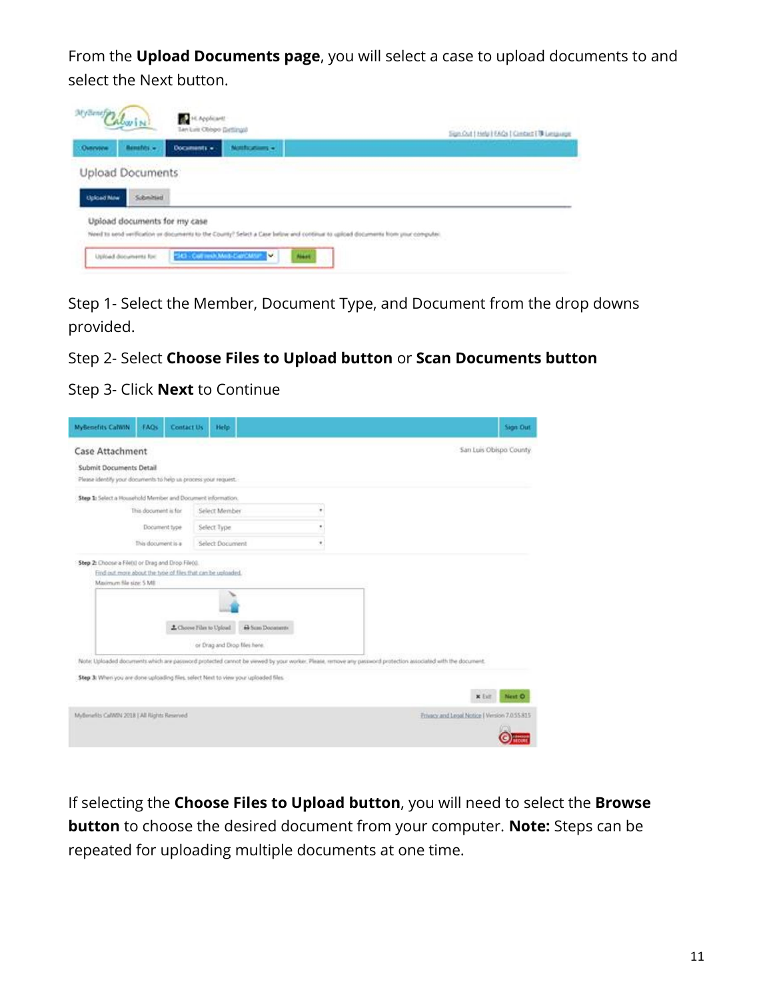From the **Upload Documents page**, you will select a case to upload documents to and select the Next button.



Step 1- Select the Member, Document Type, and Document from the drop downs provided.

#### Step 2- Select **Choose Files to Upload button** or **Scan Documents button**

Step 3- Click **Next** to Continue

| <b>MyBenefits CalWIN</b>                                                                   | FAQs                 | <b>Contact Us</b> | Help-                                                     |                             |   | Sign Out                                                                                                                                                    |
|--------------------------------------------------------------------------------------------|----------------------|-------------------|-----------------------------------------------------------|-----------------------------|---|-------------------------------------------------------------------------------------------------------------------------------------------------------------|
| <b>Case Attachment</b>                                                                     |                      |                   |                                                           |                             |   | San Luis Obispo County                                                                                                                                      |
| Submit Documents Detail<br>Please identify your documents to help us process your request. |                      |                   |                                                           |                             |   |                                                                                                                                                             |
| Step 1: Select a Household Member and Document information.                                |                      |                   |                                                           |                             |   |                                                                                                                                                             |
|                                                                                            | This document is for |                   | Select Member                                             |                             | ٠ |                                                                                                                                                             |
|                                                                                            | Document type        |                   | Select Type                                               |                             | ٠ |                                                                                                                                                             |
|                                                                                            | This document is a   |                   | Select Document                                           |                             | ٠ |                                                                                                                                                             |
|                                                                                            |                      |                   | Z. Choose Files to Upload<br>or Drag and Drop files here. | <sup>43</sup> Sum Documents |   |                                                                                                                                                             |
|                                                                                            |                      |                   |                                                           |                             |   | Note: Uploaded documents which are password protected cannot be viewed by your worker. Please, remove any password protection associated with the document. |
| Step 3: When you are done uploading files, select Next to view your uploaded files         |                      |                   |                                                           |                             |   |                                                                                                                                                             |
|                                                                                            |                      |                   |                                                           |                             |   | Next O<br>x Exit                                                                                                                                            |
| MyBeriefits CalWIN 2018   All Rights Reserved                                              |                      |                   |                                                           |                             |   | Privacy and Legal Notice   Version 7.0.55.815                                                                                                               |

If selecting the **Choose Files to Upload button**, you will need to select the **Browse button** to choose the desired document from your computer. **Note:** Steps can be repeated for uploading multiple documents at one time.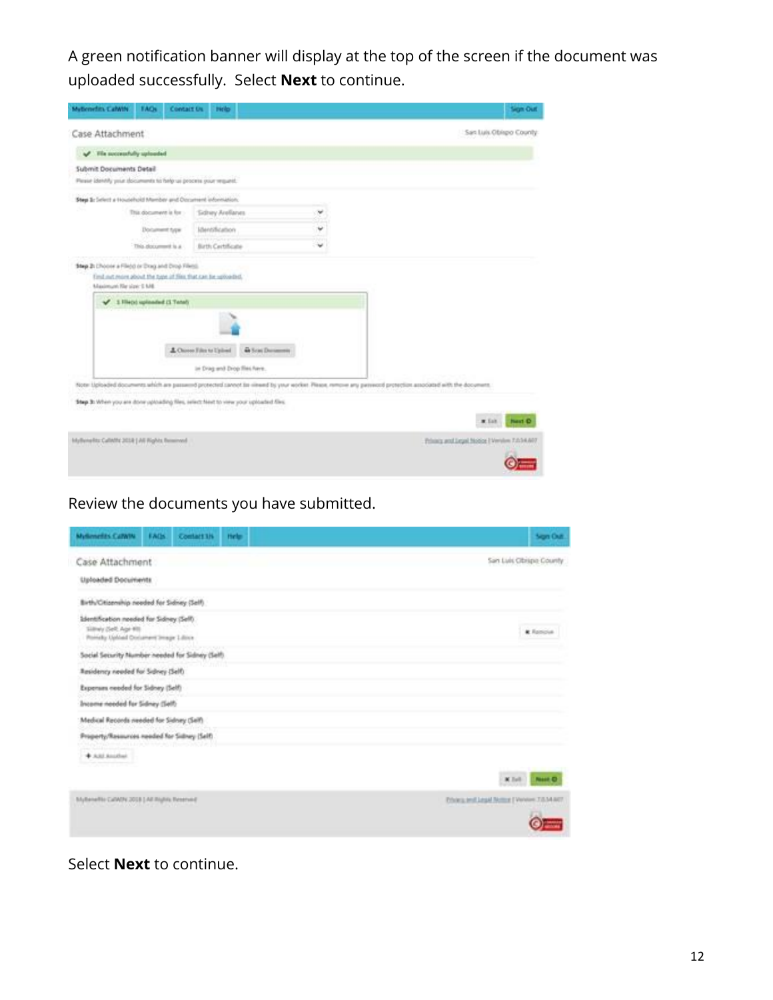A green notification banner will display at the top of the screen if the document was uploaded successfully. Select **Next** to continue.

| Myticmefits CalWiN<br><b>FAOs</b>                                                          | <b>Contact Os.</b><br><b>Pielo</b>                                            |   | Sign Out                                                                                                                                                     |
|--------------------------------------------------------------------------------------------|-------------------------------------------------------------------------------|---|--------------------------------------------------------------------------------------------------------------------------------------------------------------|
| Case Attachment                                                                            |                                                                               |   | San Luis Obispo County                                                                                                                                       |
| The successfully uploaded<br>v                                                             |                                                                               |   |                                                                                                                                                              |
| Submit Documents Detail<br>Please identify your documents to help us process your request. |                                                                               |   |                                                                                                                                                              |
| Step S: Select a Household Mamber and Document information;                                |                                                                               |   |                                                                                                                                                              |
| This document is for                                                                       | Sidney Arellanes                                                              | w |                                                                                                                                                              |
| <b>Document type:</b>                                                                      | Identification                                                                | ٧ |                                                                                                                                                              |
| This plocurrent is a                                                                       | Birth Certificate                                                             |   |                                                                                                                                                              |
|                                                                                            | L Chose Film to Upland<br><b>G Son Deserves</b><br>in Drag and Drop Res Nere. |   |                                                                                                                                                              |
|                                                                                            |                                                                               |   | Note Uploaded documents which are passessed protected career! Be viewed by your worker. Please, remove any passecol protection associated with the document. |
| Step 3: When you are done uptoading files, islact heat to view your uptoated files.        |                                                                               |   |                                                                                                                                                              |
|                                                                                            |                                                                               |   | $x$ Eat<br><b>Next O</b>                                                                                                                                     |
| MyBenefitz Calinfit: 2018   Ali Rights Reisensed                                           |                                                                               |   | Printing and Legal Notice   Verview 7.0.34.607                                                                                                               |

## Review the documents you have submitted.

| <b>Mylamelits CatWM</b>                                                                                     | EAGS | Contact 1/4 | tiele | Sign Out                                   |
|-------------------------------------------------------------------------------------------------------------|------|-------------|-------|--------------------------------------------|
| Case Attachment                                                                                             |      |             |       | San Luis Obspa County                      |
| Uploaded Documents                                                                                          |      |             |       |                                            |
| Birth/Citizenship needed for Sidney (Self)                                                                  |      |             |       |                                            |
| Identification needed for Sidney (Seff)<br>Siliney (Self: Age 61)<br>Pomisky Uphlad Document Strage Libror. |      |             |       | <b>K</b> Renova                            |
| Andrée Charles Morrison al S<br>Social Security Number needed for Sidney (Self).                            |      |             |       |                                            |
| Residency needed for Schwy (Self)                                                                           |      |             |       |                                            |
| Expenses needed for Sidney (Self)                                                                           |      |             |       |                                            |
| Income noeded for Sidney (Self)                                                                             |      |             |       |                                            |
| Medical Records needed for Sidney (Self)                                                                    |      |             |       |                                            |
| Property/Resources readed for Sidney (Self)                                                                 |      |             |       |                                            |
| $+$ ABJ Anather.                                                                                            |      |             |       |                                            |
|                                                                                                             |      |             |       | $M$ Earl<br><b>Note Of</b>                 |
| prignmente CNWM 2018   All Inginis Reserved                                                                 |      |             |       | Ethics and Japal Notice   Venere 7/834-867 |
|                                                                                                             |      |             |       |                                            |

#### Select **Next** to continue.